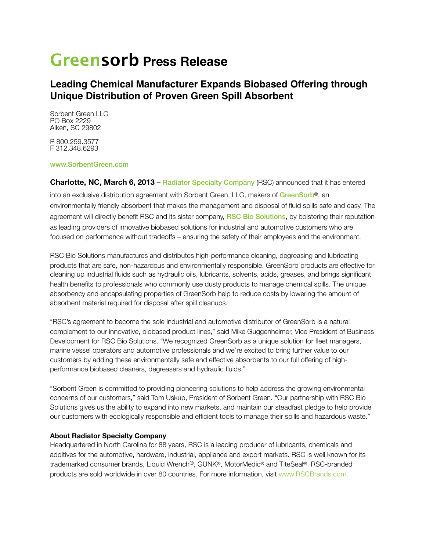# **Greensorb Press Release**

## **Leading Chemical Manufacturer Expands Biobased Offering through Unique Distribution of Proven Green Spill Absorbent**

Sorbent Green LLC PO Box 2229 Aiken, SC 29802

P 800.259.3577 F 312.348.6293

#### www.SorbentGreen.com

**Charlotte, NC, March 6, 2013** – Radiator Specialty Company (RSC) announced that it has entered into an exclusive distribution agreement with Sorbent Green, LLC, makers of GreenSorb®, an environmentally friendly absorbent that makes the management and disposal of fluid spills safe and easy. The agreement will directly benefit RSC and its sister company, RSC Bio Solutions, by bolstering their reputation as leading providers of innovative biobased solutions for industrial and automotive customers who are focused on performance without tradeoffs – ensuring the safety of their employees and the environment.

RSC Bio Solutions manufactures and distributes high-performance cleaning, degreasing and lubricating products that are safe, non-hazardous and environmentally responsible. GreenSorb products are effective for cleaning up industrial fluids such as hydraulic oils, lubricants, solvents, acids, greases, and brings significant health benefits to professionals who commonly use dusty products to manage chemical spills. The unique absorbency and encapsulating properties of GreenSorb help to reduce costs by lowering the amount of absorbent material required for disposal after spill cleanups.

"RSC's agreement to become the sole industrial and automotive distributor of GreenSorb is a natural complement to our innovative, biobased product lines," said Mike Guggenheimer, Vice President of Business Development for RSC Bio Solutions. "We recognized GreenSorb as a unique solution for fleet managers, marine vessel operators and automotive professionals and we're excited to bring further value to our customers by adding these environmentally safe and effective absorbents to our full offering of highperformance biobased cleaners, degreasers and hydraulic fluids."

"Sorbent Green is committed to providing pioneering solutions to help address the growing environmental concerns of our customers," said Tom Uskup, President of Sorbent Green. "Our partnership with RSC Bio Solutions gives us the ability to expand into new markets, and maintain our steadfast pledge to help provide our customers with ecologically responsible and efficient tools to manage their spills and hazardous waste."

#### **About Radiator Specialty Company**

Headquartered in North Carolina for 88 years, RSC is a leading producer of lubricants, chemicals and additives for the automotive, hardware, industrial, appliance and export markets. RSC is well known for its trademarked consumer brands, Liquid Wrench®, GUNK®, MotorMedic® and TiteSeal®. RSC-branded products are sold worldwide in over 80 countries. For more information, visit [www.RSCBrands.com](http://www.RSCBrands.com).